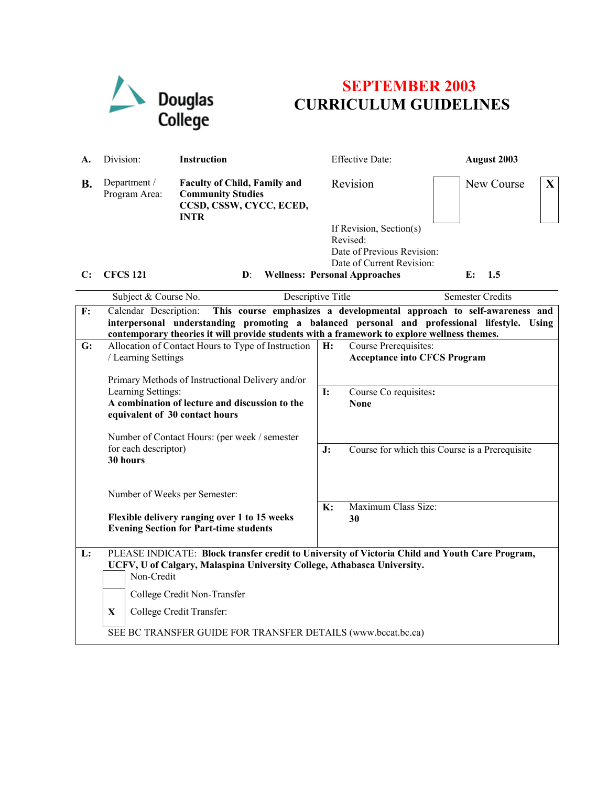

## **SEPTEMBER 2003 CURRICULUM GUIDELINES**

| А.                            | Division:                                                                                                                                                                                                                                                                                    | Instruction                                                                                               | <b>Effective Date:</b>                                                                                                                 | August 2003                                    |
|-------------------------------|----------------------------------------------------------------------------------------------------------------------------------------------------------------------------------------------------------------------------------------------------------------------------------------------|-----------------------------------------------------------------------------------------------------------|----------------------------------------------------------------------------------------------------------------------------------------|------------------------------------------------|
| <b>B.</b>                     | Department /<br>Program Area:                                                                                                                                                                                                                                                                | <b>Faculty of Child, Family and</b><br><b>Community Studies</b><br>CCSD, CSSW, CYCC, ECED,<br><b>INTR</b> | Revision                                                                                                                               | New Course<br>$\mathbf{X}$                     |
| C:                            | <b>CFCS 121</b>                                                                                                                                                                                                                                                                              | $\mathbf{D}$ :                                                                                            | If Revision, Section(s)<br>Revised:<br>Date of Previous Revision:<br>Date of Current Revision:<br><b>Wellness: Personal Approaches</b> | E:<br>1.5                                      |
|                               | Subject & Course No.                                                                                                                                                                                                                                                                         |                                                                                                           | Descriptive Title                                                                                                                      | <b>Semester Credits</b>                        |
| F:                            | This course emphasizes a developmental approach to self-awareness and<br>Calendar Description:<br>interpersonal understanding promoting a balanced personal and professional lifestyle. Using<br>contemporary theories it will provide students with a framework to explore wellness themes. |                                                                                                           |                                                                                                                                        |                                                |
| G:                            | Allocation of Contact Hours to Type of Instruction<br>/ Learning Settings<br>Primary Methods of Instructional Delivery and/or<br>Learning Settings:<br>A combination of lecture and discussion to the<br>equivalent of 30 contact hours                                                      |                                                                                                           | Course Prerequisites:<br>H:<br><b>Acceptance into CFCS Program</b>                                                                     |                                                |
|                               |                                                                                                                                                                                                                                                                                              |                                                                                                           | $\mathbf{I}$ :<br>Course Co requisites:<br><b>None</b>                                                                                 |                                                |
|                               | for each descriptor)<br>30 hours                                                                                                                                                                                                                                                             | Number of Contact Hours: (per week / semester                                                             | $\mathbf{J}$ :                                                                                                                         | Course for which this Course is a Prerequisite |
|                               | Number of Weeks per Semester:<br>Flexible delivery ranging over 1 to 15 weeks<br><b>Evening Section for Part-time students</b>                                                                                                                                                               |                                                                                                           |                                                                                                                                        |                                                |
|                               |                                                                                                                                                                                                                                                                                              |                                                                                                           | Maximum Class Size:<br>$\mathbf{K}$ :<br>30                                                                                            |                                                |
| L:                            | PLEASE INDICATE: Block transfer credit to University of Victoria Child and Youth Care Program,<br>UCFV, U of Calgary, Malaspina University College, Athabasca University.<br>Non-Credit                                                                                                      |                                                                                                           |                                                                                                                                        |                                                |
|                               | College Credit Non-Transfer                                                                                                                                                                                                                                                                  |                                                                                                           |                                                                                                                                        |                                                |
| X<br>College Credit Transfer: |                                                                                                                                                                                                                                                                                              |                                                                                                           |                                                                                                                                        |                                                |
|                               | SEE BC TRANSFER GUIDE FOR TRANSFER DETAILS (www.bccat.bc.ca)                                                                                                                                                                                                                                 |                                                                                                           |                                                                                                                                        |                                                |